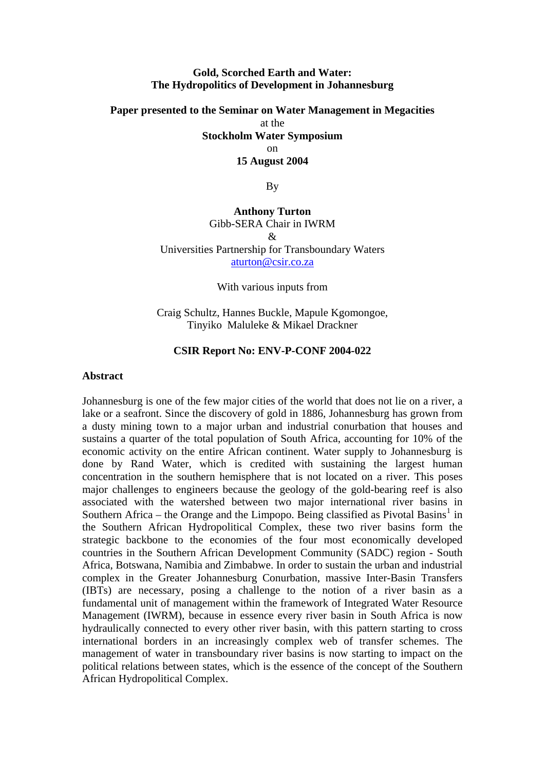#### **Gold, Scorched Earth and Water: The Hydropolitics of Development in Johannesburg**

# **Paper presented to the Seminar on Water Management in Megacities**  at the **Stockholm Water Symposium**  on **15 August 2004**

By

# **Anthony Turton**  Gibb-SERA Chair in IWRM  $\mathcal{R}$ Universities Partnership for Transboundary Waters [aturton@csir.co.za](mailto:aturton@csir.co.za)

With various inputs from

Craig Schultz, Hannes Buckle, Mapule Kgomongoe, Tinyiko Maluleke & Mikael Drackner

### **CSIR Report No: ENV-P-CONF 2004-022**

### **Abstract**

Johannesburg is one of the few major cities of the world that does not lie on a river, a lake or a seafront. Since the discovery of gold in 1886, Johannesburg has grown from a dusty mining town to a major urban and industrial conurbation that houses and sustains a quarter of the total population of South Africa, accounting for 10% of the economic activity on the entire African continent. Water supply to Johannesburg is done by Rand Water, which is credited with sustaining the largest human concentration in the southern hemisphere that is not located on a river. This poses major challenges to engineers because the geology of the gold-bearing reef is also associated with the watershed between two major international river basins in Southern Africa – the Orange and the Limpopo. Being classified as Pivotal Basins<sup>[1](#page-25-0)</sup> in the Southern African Hydropolitical Complex, these two river basins form the strategic backbone to the economies of the four most economically developed countries in the Southern African Development Community (SADC) region - South Africa, Botswana, Namibia and Zimbabwe. In order to sustain the urban and industrial complex in the Greater Johannesburg Conurbation, massive Inter-Basin Transfers (IBTs) are necessary, posing a challenge to the notion of a river basin as a fundamental unit of management within the framework of Integrated Water Resource Management (IWRM), because in essence every river basin in South Africa is now hydraulically connected to every other river basin, with this pattern starting to cross international borders in an increasingly complex web of transfer schemes. The management of water in transboundary river basins is now starting to impact on the political relations between states, which is the essence of the concept of the Southern African Hydropolitical Complex.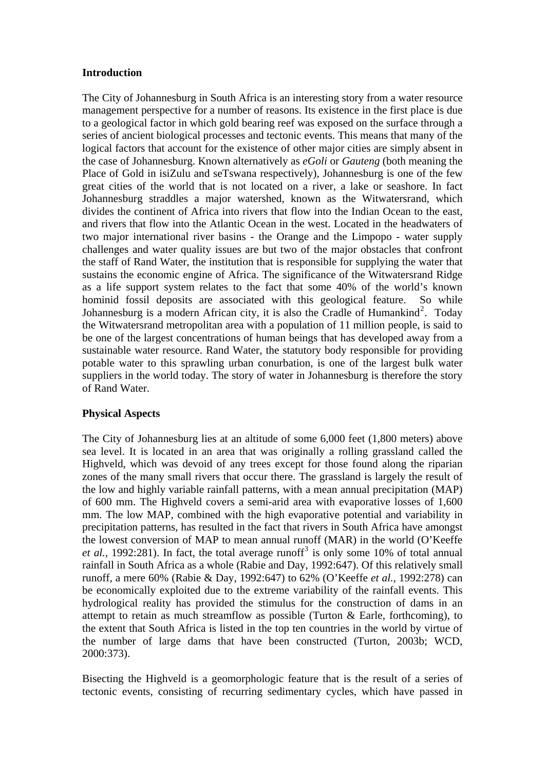### **Introduction**

The City of Johannesburg in South Africa is an interesting story from a water resource management perspective for a number of reasons. Its existence in the first place is due to a geological factor in which gold bearing reef was exposed on the surface through a series of ancient biological processes and tectonic events. This means that many of the logical factors that account for the existence of other major cities are simply absent in the case of Johannesburg. Known alternatively as *eGoli* or *Gauteng* (both meaning the Place of Gold in isiZulu and seTswana respectively), Johannesburg is one of the few great cities of the world that is not located on a river, a lake or seashore. In fact Johannesburg straddles a major watershed, known as the Witwatersrand, which divides the continent of Africa into rivers that flow into the Indian Ocean to the east, and rivers that flow into the Atlantic Ocean in the west. Located in the headwaters of two major international river basins - the Orange and the Limpopo - water supply challenges and water quality issues are but two of the major obstacles that confront the staff of Rand Water, the institution that is responsible for supplying the water that sustains the economic engine of Africa. The significance of the Witwatersrand Ridge as a life support system relates to the fact that some 40% of the world's known hominid fossil deposits are associated with this geological feature. So while Johannesburg is a modern African city, it is also the Cradle of Humankind<sup>[2](#page-25-1)</sup>. Today the Witwatersrand metropolitan area with a population of 11 million people, is said to be one of the largest concentrations of human beings that has developed away from a sustainable water resource. Rand Water, the statutory body responsible for providing potable water to this sprawling urban conurbation, is one of the largest bulk water suppliers in the world today. The story of water in Johannesburg is therefore the story of Rand Water.

# **Physical Aspects**

The City of Johannesburg lies at an altitude of some 6,000 feet (1,800 meters) above sea level. It is located in an area that was originally a rolling grassland called the Highveld, which was devoid of any trees except for those found along the riparian zones of the many small rivers that occur there. The grassland is largely the result of the low and highly variable rainfall patterns, with a mean annual precipitation (MAP) of 600 mm. The Highveld covers a semi-arid area with evaporative losses of 1,600 mm. The low MAP, combined with the high evaporative potential and variability in precipitation patterns, has resulted in the fact that rivers in South Africa have amongst the lowest conversion of MAP to mean annual runoff (MAR) in the world (O'Keeffe *et al.*, 1992:281). In fact, the total average runoff<sup>[3](#page-25-1)</sup> is only some 10% of total annual rainfall in South Africa as a whole (Rabie and Day, 1992:647). Of this relatively small runoff, a mere 60% (Rabie & Day, 1992:647) to 62% (O'Keeffe *et al.,* 1992:278) can be economically exploited due to the extreme variability of the rainfall events. This hydrological reality has provided the stimulus for the construction of dams in an attempt to retain as much streamflow as possible (Turton  $\&$  Earle, forthcoming), to the extent that South Africa is listed in the top ten countries in the world by virtue of the number of large dams that have been constructed (Turton, 2003b; WCD, 2000:373).

Bisecting the Highveld is a geomorphologic feature that is the result of a series of tectonic events, consisting of recurring sedimentary cycles, which have passed in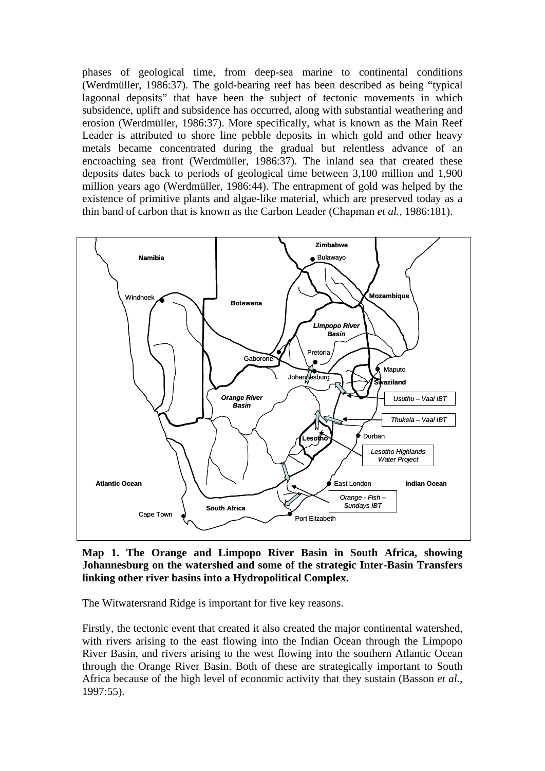phases of geological time, from deep-sea marine to continental conditions (Werdmüller, 1986:37). The gold-bearing reef has been described as being "typical lagoonal deposits" that have been the subject of tectonic movements in which subsidence, uplift and subsidence has occurred, along with substantial weathering and erosion (Werdmüller, 1986:37). More specifically, what is known as the Main Reef Leader is attributed to shore line pebble deposits in which gold and other heavy metals became concentrated during the gradual but relentless advance of an encroaching sea front (Werdmüller, 1986:37). The inland sea that created these deposits dates back to periods of geological time between 3,100 million and 1,900 million years ago (Werdmüller, 1986:44). The entrapment of gold was helped by the existence of primitive plants and algae-like material, which are preserved today as a thin band of carbon that is known as the Carbon Leader (Chapman *et al.,* 1986:181).



**Map 1. The Orange and Limpopo River Basin in South Africa, showing Johannesburg on the watershed and some of the strategic Inter-Basin Transfers linking other river basins into a Hydropolitical Complex.** 

The Witwatersrand Ridge is important for five key reasons.

Firstly, the tectonic event that created it also created the major continental watershed, with rivers arising to the east flowing into the Indian Ocean through the Limpopo River Basin, and rivers arising to the west flowing into the southern Atlantic Ocean through the Orange River Basin. Both of these are strategically important to South Africa because of the high level of economic activity that they sustain (Basson *et al.,* 1997:55).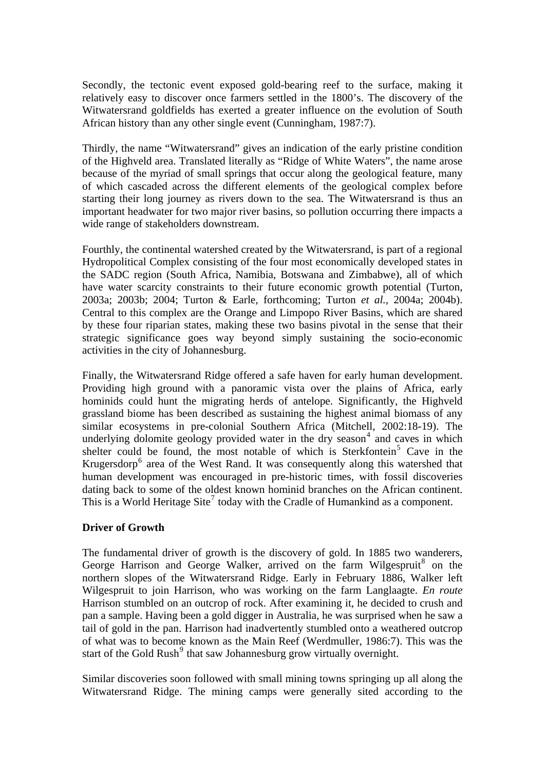Secondly, the tectonic event exposed gold-bearing reef to the surface, making it relatively easy to discover once farmers settled in the 1800's. The discovery of the Witwatersrand goldfields has exerted a greater influence on the evolution of South African history than any other single event (Cunningham, 1987:7).

Thirdly, the name "Witwatersrand" gives an indication of the early pristine condition of the Highveld area. Translated literally as "Ridge of White Waters", the name arose because of the myriad of small springs that occur along the geological feature, many of which cascaded across the different elements of the geological complex before starting their long journey as rivers down to the sea. The Witwatersrand is thus an important headwater for two major river basins, so pollution occurring there impacts a wide range of stakeholders downstream.

Fourthly, the continental watershed created by the Witwatersrand, is part of a regional Hydropolitical Complex consisting of the four most economically developed states in the SADC region (South Africa, Namibia, Botswana and Zimbabwe), all of which have water scarcity constraints to their future economic growth potential (Turton, 2003a; 2003b; 2004; Turton & Earle, forthcoming; Turton *et al.,* 2004a; 2004b). Central to this complex are the Orange and Limpopo River Basins, which are shared by these four riparian states, making these two basins pivotal in the sense that their strategic significance goes way beyond simply sustaining the socio-economic activities in the city of Johannesburg.

Finally, the Witwatersrand Ridge offered a safe haven for early human development. Providing high ground with a panoramic vista over the plains of Africa, early hominids could hunt the migrating herds of antelope. Significantly, the Highveld grassland biome has been described as sustaining the highest animal biomass of any similar ecosystems in pre-colonial Southern Africa (Mitchell, 2002:18-19). The underlying dolomite geology provided water in the dry season $4$  and caves in which shelter could be found, the most notable of which is Sterkfontein<sup>[5](#page-25-1)</sup> Cave in the Krugersdorp<sup>[6](#page-25-1)</sup> area of the West Rand. It was consequently along this watershed that human development was encouraged in pre-historic times, with fossil discoveries dating back to some of the oldest known hominid branches on the African continent. This is a World Heritage Site<sup>[7](#page-25-1)</sup> today with the Cradle of Humankind as a component.

# **Driver of Growth**

The fundamental driver of growth is the discovery of gold. In 1885 two wanderers, George Harrison and George Walker, arrived on the farm Wilgespruit<sup>[8](#page-25-1)</sup> on the northern slopes of the Witwatersrand Ridge. Early in February 1886, Walker left Wilgespruit to join Harrison, who was working on the farm Langlaagte. *En route* Harrison stumbled on an outcrop of rock. After examining it, he decided to crush and pan a sample. Having been a gold digger in Australia, he was surprised when he saw a tail of gold in the pan. Harrison had inadvertently stumbled onto a weathered outcrop of what was to become known as the Main Reef (Werdmuller, 1986:7). This was the start of the Gold Rush<sup>[9](#page-25-1)</sup> that saw Johannesburg grow virtually overnight.

Similar discoveries soon followed with small mining towns springing up all along the Witwatersrand Ridge. The mining camps were generally sited according to the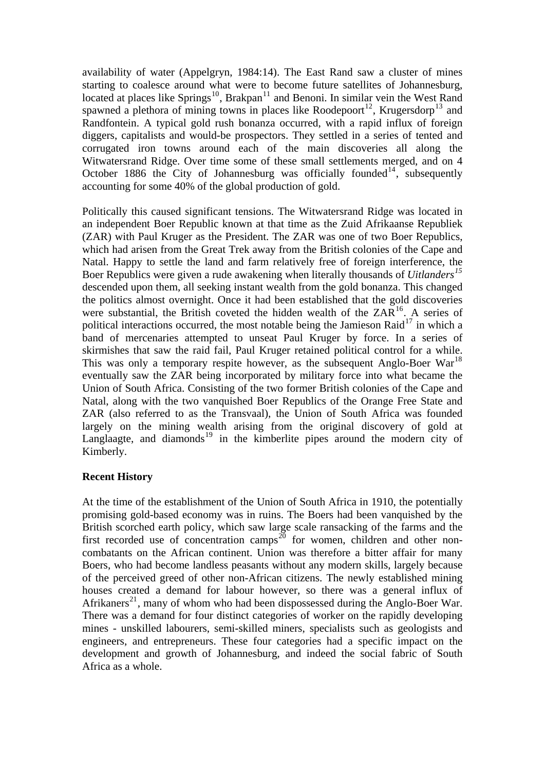availability of water (Appelgryn, 1984:14). The East Rand saw a cluster of mines starting to coalesce around what were to become future satellites of Johannesburg, located at places like Springs<sup>[10](#page-25-1)</sup>, Brakpan<sup>[11](#page-25-1)</sup> and Benoni. In similar vein the West Rand spawned a plethora of mining towns in places like Roodepoort<sup>[12](#page-25-1)</sup>, Krugersdorp<sup>[13](#page-25-1)</sup> and Randfontein. A typical gold rush bonanza occurred, with a rapid influx of foreign diggers, capitalists and would-be prospectors. They settled in a series of tented and corrugated iron towns around each of the main discoveries all along the Witwatersrand Ridge. Over time some of these small settlements merged, and on 4 October 1886 the City of Johannesburg was officially founded<sup>[14](#page-25-1)</sup>, subsequently accounting for some 40% of the global production of gold.

Politically this caused significant tensions. The Witwatersrand Ridge was located in an independent Boer Republic known at that time as the Zuid Afrikaanse Republiek (ZAR) with Paul Kruger as the President. The ZAR was one of two Boer Republics, which had arisen from the Great Trek away from the British colonies of the Cape and Natal. Happy to settle the land and farm relatively free of foreign interference, the Boer Republics were given a rude awakening when literally thousands of *Uitlanders[15](#page-25-1)* descended upon them, all seeking instant wealth from the gold bonanza. This changed the politics almost overnight. Once it had been established that the gold discoveries were substantial, the British coveted the hidden wealth of the  $ZA\tilde{R}^{16}$  $ZA\tilde{R}^{16}$  $ZA\tilde{R}^{16}$ . A series of political interactions occurred, the most notable being the Jamieson Raid<sup>[17](#page-25-1)</sup> in which a band of mercenaries attempted to unseat Paul Kruger by force. In a series of skirmishes that saw the raid fail, Paul Kruger retained political control for a while. This was only a temporary respite however, as the subsequent Anglo-Boer War<sup>[18](#page-25-1)</sup> eventually saw the ZAR being incorporated by military force into what became the Union of South Africa. Consisting of the two former British colonies of the Cape and Natal, along with the two vanquished Boer Republics of the Orange Free State and ZAR (also referred to as the Transvaal), the Union of South Africa was founded largely on the mining wealth arising from the original discovery of gold at Langlaagte, and diamonds<sup>[19](#page-25-1)</sup> in the kimberlite pipes around the modern city of Kimberly.

# **Recent History**

At the time of the establishment of the Union of South Africa in 1910, the potentially promising gold-based economy was in ruins. The Boers had been vanquished by the British scorched earth policy, which saw large scale ransacking of the farms and the first recorded use of concentration camps<sup>[20](#page-25-1)</sup> for women, children and other noncombatants on the African continent. Union was therefore a bitter affair for many Boers, who had become landless peasants without any modern skills, largely because of the perceived greed of other non-African citizens. The newly established mining houses created a demand for labour however, so there was a general influx of Afrikaners<sup>[21](#page-25-1)</sup>, many of whom who had been dispossessed during the Anglo-Boer War. There was a demand for four distinct categories of worker on the rapidly developing mines - unskilled labourers, semi-skilled miners, specialists such as geologists and engineers, and entrepreneurs. These four categories had a specific impact on the development and growth of Johannesburg, and indeed the social fabric of South Africa as a whole.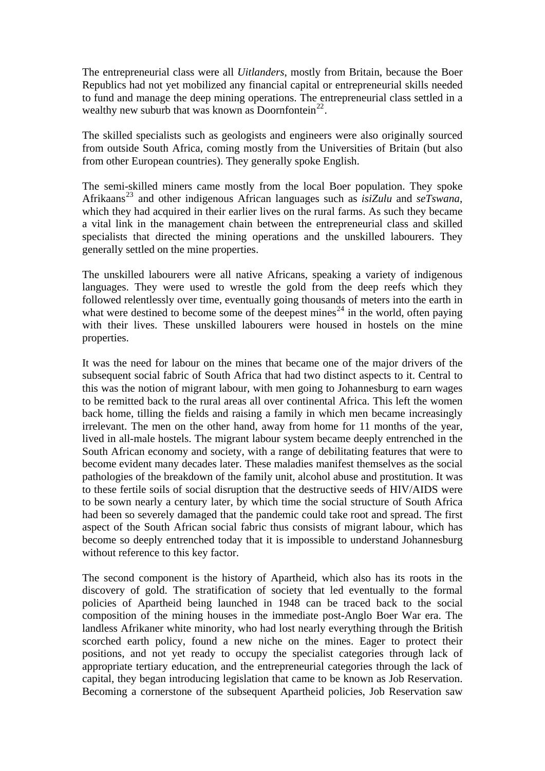The entrepreneurial class were all *Uitlanders*, mostly from Britain, because the Boer Republics had not yet mobilized any financial capital or entrepreneurial skills needed to fund and manage the deep mining operations. The entrepreneurial class settled in a wealthy new suburb that was known as Doornfontein<sup>[22](#page-25-1)</sup>.

The skilled specialists such as geologists and engineers were also originally sourced from outside South Africa, coming mostly from the Universities of Britain (but also from other European countries). They generally spoke English.

The semi-skilled miners came mostly from the local Boer population. They spoke Afrikaans[23](#page-25-1) and other indigenous African languages such as *isiZulu* and *seTswana*, which they had acquired in their earlier lives on the rural farms. As such they became a vital link in the management chain between the entrepreneurial class and skilled specialists that directed the mining operations and the unskilled labourers. They generally settled on the mine properties.

The unskilled labourers were all native Africans, speaking a variety of indigenous languages. They were used to wrestle the gold from the deep reefs which they followed relentlessly over time, eventually going thousands of meters into the earth in what were destined to become some of the deepest mines<sup>[24](#page-25-1)</sup> in the world, often paying with their lives. These unskilled labourers were housed in hostels on the mine properties.

It was the need for labour on the mines that became one of the major drivers of the subsequent social fabric of South Africa that had two distinct aspects to it. Central to this was the notion of migrant labour, with men going to Johannesburg to earn wages to be remitted back to the rural areas all over continental Africa. This left the women back home, tilling the fields and raising a family in which men became increasingly irrelevant. The men on the other hand, away from home for 11 months of the year, lived in all-male hostels. The migrant labour system became deeply entrenched in the South African economy and society, with a range of debilitating features that were to become evident many decades later. These maladies manifest themselves as the social pathologies of the breakdown of the family unit, alcohol abuse and prostitution. It was to these fertile soils of social disruption that the destructive seeds of HIV/AIDS were to be sown nearly a century later, by which time the social structure of South Africa had been so severely damaged that the pandemic could take root and spread. The first aspect of the South African social fabric thus consists of migrant labour, which has become so deeply entrenched today that it is impossible to understand Johannesburg without reference to this key factor.

The second component is the history of Apartheid, which also has its roots in the discovery of gold. The stratification of society that led eventually to the formal policies of Apartheid being launched in 1948 can be traced back to the social composition of the mining houses in the immediate post-Anglo Boer War era. The landless Afrikaner white minority, who had lost nearly everything through the British scorched earth policy, found a new niche on the mines. Eager to protect their positions, and not yet ready to occupy the specialist categories through lack of appropriate tertiary education, and the entrepreneurial categories through the lack of capital, they began introducing legislation that came to be known as Job Reservation. Becoming a cornerstone of the subsequent Apartheid policies, Job Reservation saw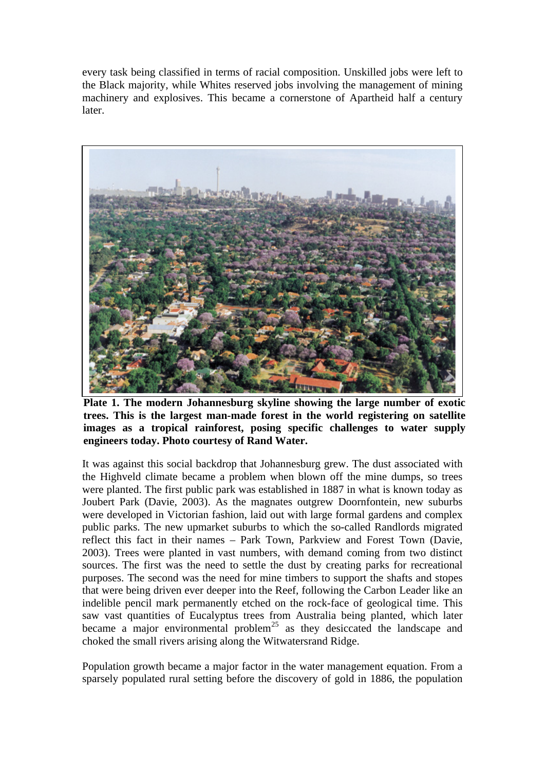every task being classified in terms of racial composition. Unskilled jobs were left to the Black majority, while Whites reserved jobs involving the management of mining machinery and explosives. This became a cornerstone of Apartheid half a century later.



**Plate 1. The modern Johannesburg skyline showing the large number of exotic**  trees. This is the largest man-made forest in the world registering on satellite images as a tropical rainforest, posing specific challenges to water supply **engineers today. Photo courtesy of Rand Water.** 

It was against this social backdrop that Johannesburg grew. The dust associated with the Highveld climate became a problem when blown off the mine dumps, so trees were planted. The first public park was established in 1887 in what is known today as Joubert Park (Davie, 2003). As the magnates outgrew Doornfontein, new suburbs were developed in Victorian fashion, laid out with large formal gardens and complex public parks. The new upmarket suburbs to which the so-called Randlords migrated reflect this fact in their names – Park Town, Parkview and Forest Town (Davie, 2003). Trees were planted in vast numbers, with demand coming from two distinct sources. The first was the need to settle the dust by creating parks for recreational purposes. The second was the need for mine timbers to support the shafts and stopes that were being driven ever deeper into the Reef, following the Carbon Leader like an indelible pencil mark permanently etched on the rock-face of geological time. This saw vast quantities of Eucalyptus trees from Australia being planted, which later became a major environmental problem<sup>[25](#page-25-1)</sup> as they desiccated the landscape and choked the small rivers arising along the Witwatersrand Ridge.

Population growth became a major factor in the water management equation. From a sparsely populated rural setting before the discovery of gold in 1886, the population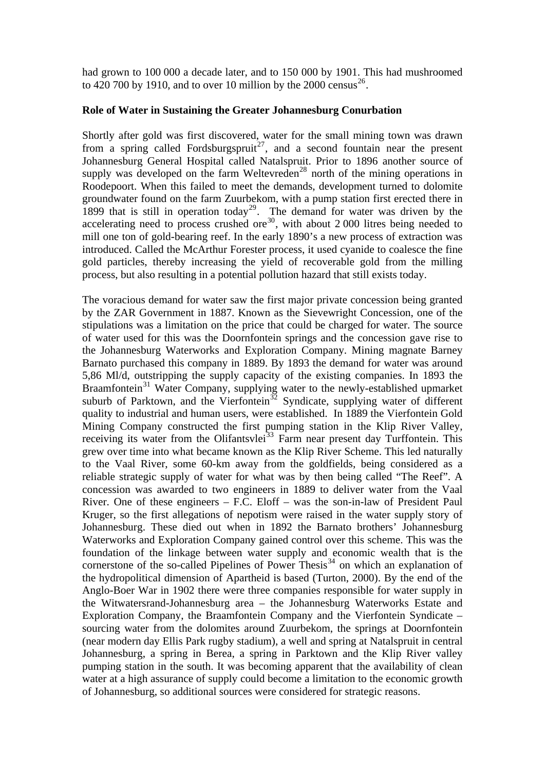had grown to 100 000 a decade later, and to 150 000 by 1901. This had mushroomed to 420 700 by 1910, and to over 10 million by the 2000 census<sup>[26](#page-25-1)</sup>.

#### **Role of Water in Sustaining the Greater Johannesburg Conurbation**

Shortly after gold was first discovered, water for the small mining town was drawn from a spring called Fordsburgspruit<sup>[27](#page-25-1)</sup>, and a second fountain near the present Johannesburg General Hospital called Natalspruit. Prior to 1896 another source of supply was developed on the farm Weltevreden<sup>[28](#page-25-1)</sup> north of the mining operations in Roodepoort. When this failed to meet the demands, development turned to dolomite groundwater found on the farm Zuurbekom, with a pump station first erected there in 1899 that is still in operation today<sup>[29](#page-25-1)</sup>. The demand for water was driven by the accelerating need to process crushed ore $^{30}$  $^{30}$  $^{30}$ , with about 2 000 litres being needed to mill one ton of gold-bearing reef. In the early 1890's a new process of extraction was introduced. Called the McArthur Forester process, it used cyanide to coalesce the fine gold particles, thereby increasing the yield of recoverable gold from the milling process, but also resulting in a potential pollution hazard that still exists today.

The voracious demand for water saw the first major private concession being granted by the ZAR Government in 1887. Known as the Sievewright Concession, one of the stipulations was a limitation on the price that could be charged for water. The source of water used for this was the Doornfontein springs and the concession gave rise to the Johannesburg Waterworks and Exploration Company. Mining magnate Barney Barnato purchased this company in 1889. By 1893 the demand for water was around 5,86 Ml/d, outstripping the supply capacity of the existing companies. In 1893 the Braamfontein<sup>[31](#page-25-1)</sup> Water Company, supplying water to the newly-established upmarket suburb of Parktown, and the Vierfontein<sup>[32](#page-25-1)</sup> Syndicate, supplying water of different quality to industrial and human users, were established. In 1889 the Vierfontein Gold Mining Company constructed the first pumping station in the Klip River Valley, receiving its water from the Olifantsvlei<sup>[33](#page-25-1)</sup> Farm near present day Turffontein. This grew over time into what became known as the Klip River Scheme. This led naturally to the Vaal River, some 60-km away from the goldfields, being considered as a reliable strategic supply of water for what was by then being called "The Reef". A concession was awarded to two engineers in 1889 to deliver water from the Vaal River. One of these engineers – F.C. Eloff – was the son-in-law of President Paul Kruger, so the first allegations of nepotism were raised in the water supply story of Johannesburg. These died out when in 1892 the Barnato brothers' Johannesburg Waterworks and Exploration Company gained control over this scheme. This was the foundation of the linkage between water supply and economic wealth that is the cornerstone of the so-called Pipelines of Power Thesis $34$  on which an explanation of the hydropolitical dimension of Apartheid is based (Turton, 2000). By the end of the Anglo-Boer War in 1902 there were three companies responsible for water supply in the Witwatersrand-Johannesburg area – the Johannesburg Waterworks Estate and Exploration Company, the Braamfontein Company and the Vierfontein Syndicate – sourcing water from the dolomites around Zuurbekom, the springs at Doornfontein (near modern day Ellis Park rugby stadium), a well and spring at Natalspruit in central Johannesburg, a spring in Berea, a spring in Parktown and the Klip River valley pumping station in the south. It was becoming apparent that the availability of clean water at a high assurance of supply could become a limitation to the economic growth of Johannesburg, so additional sources were considered for strategic reasons.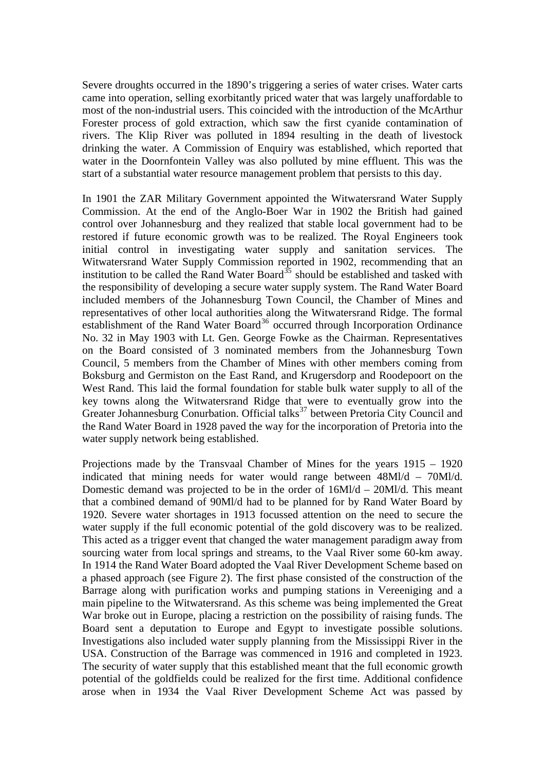Severe droughts occurred in the 1890's triggering a series of water crises. Water carts came into operation, selling exorbitantly priced water that was largely unaffordable to most of the non-industrial users. This coincided with the introduction of the McArthur Forester process of gold extraction, which saw the first cyanide contamination of rivers. The Klip River was polluted in 1894 resulting in the death of livestock drinking the water. A Commission of Enquiry was established, which reported that water in the Doornfontein Valley was also polluted by mine effluent. This was the start of a substantial water resource management problem that persists to this day.

In 1901 the ZAR Military Government appointed the Witwatersrand Water Supply Commission. At the end of the Anglo-Boer War in 1902 the British had gained control over Johannesburg and they realized that stable local government had to be restored if future economic growth was to be realized. The Royal Engineers took initial control in investigating water supply and sanitation services. The Witwatersrand Water Supply Commission reported in 1902, recommending that an institution to be called the Rand Water Board<sup>[35](#page-25-1)</sup> should be established and tasked with the responsibility of developing a secure water supply system. The Rand Water Board included members of the Johannesburg Town Council, the Chamber of Mines and representatives of other local authorities along the Witwatersrand Ridge. The formal establishment of the Rand Water Board<sup>[36](#page-25-1)</sup> occurred through Incorporation Ordinance No. 32 in May 1903 with Lt. Gen. George Fowke as the Chairman. Representatives on the Board consisted of 3 nominated members from the Johannesburg Town Council, 5 members from the Chamber of Mines with other members coming from Boksburg and Germiston on the East Rand, and Krugersdorp and Roodepoort on the West Rand. This laid the formal foundation for stable bulk water supply to all of the key towns along the Witwatersrand Ridge that were to eventually grow into the Greater Johannesburg Conurbation. Official talks<sup>[37](#page-25-1)</sup> between Pretoria City Council and the Rand Water Board in 1928 paved the way for the incorporation of Pretoria into the water supply network being established.

Projections made by the Transvaal Chamber of Mines for the years 1915 – 1920 indicated that mining needs for water would range between 48Ml/d – 70Ml/d. Domestic demand was projected to be in the order of  $16Ml/d - 20Ml/d$ . This meant that a combined demand of 90Ml/d had to be planned for by Rand Water Board by 1920. Severe water shortages in 1913 focussed attention on the need to secure the water supply if the full economic potential of the gold discovery was to be realized. This acted as a trigger event that changed the water management paradigm away from sourcing water from local springs and streams, to the Vaal River some 60-km away. In 1914 the Rand Water Board adopted the Vaal River Development Scheme based on a phased approach (see Figure 2). The first phase consisted of the construction of the Barrage along with purification works and pumping stations in Vereeniging and a main pipeline to the Witwatersrand. As this scheme was being implemented the Great War broke out in Europe, placing a restriction on the possibility of raising funds. The Board sent a deputation to Europe and Egypt to investigate possible solutions. Investigations also included water supply planning from the Mississippi River in the USA. Construction of the Barrage was commenced in 1916 and completed in 1923. The security of water supply that this established meant that the full economic growth potential of the goldfields could be realized for the first time. Additional confidence arose when in 1934 the Vaal River Development Scheme Act was passed by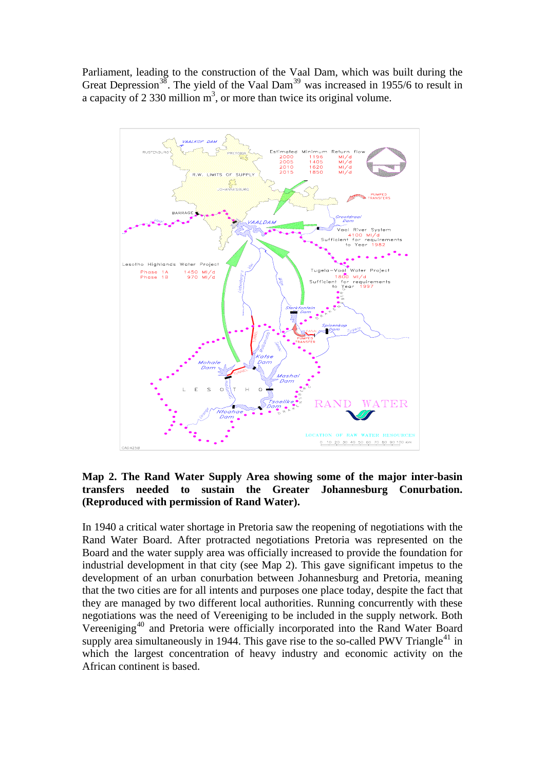Parliament, leading to the construction of the Vaal Dam, which was built during the Great Depression<sup>[38](#page-25-1)</sup>. The yield of the Vaal Dam<sup>[39](#page-25-1)</sup> was increased in 1955/6 to result in a capacity of 2 330 million  $m<sup>3</sup>$ , or more than twice its original volume.



### **Map 2. The Rand Water Supply Area showing some of the major inter-basin transfers needed to sustain the Greater Johannesburg Conurbation. (Reproduced with permission of Rand Water).**

In 1940 a critical water shortage in Pretoria saw the reopening of negotiations with the Rand Water Board. After protracted negotiations Pretoria was represented on the Board and the water supply area was officially increased to provide the foundation for industrial development in that city (see Map 2). This gave significant impetus to the development of an urban conurbation between Johannesburg and Pretoria, meaning that the two cities are for all intents and purposes one place today, despite the fact that they are managed by two different local authorities. Running concurrently with these negotiations was the need of Vereeniging to be included in the supply network. Both Vereeniging<sup>[40](#page-25-1)</sup> and Pretoria were officially incorporated into the Rand Water Board supply area simultaneously in 1944. This gave rise to the so-called PWV Triangle<sup>[41](#page-25-1)</sup> in which the largest concentration of heavy industry and economic activity on the African continent is based.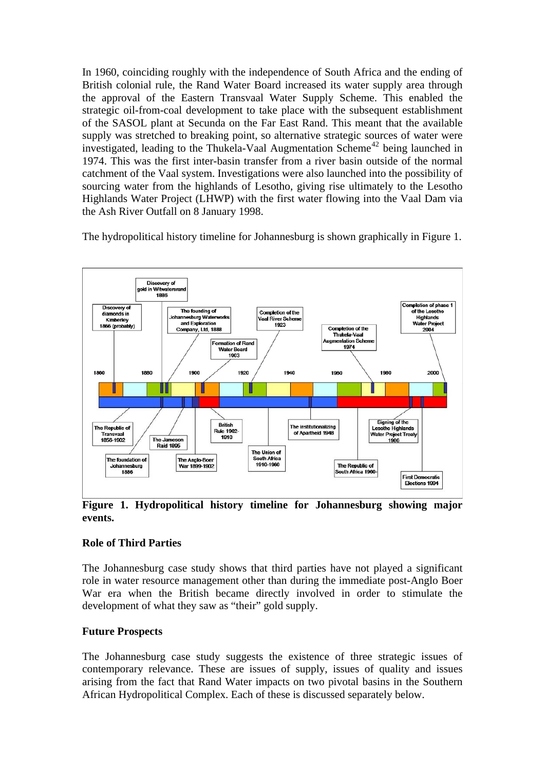In 1960, coinciding roughly with the independence of South Africa and the ending of British colonial rule, the Rand Water Board increased its water supply area through the approval of the Eastern Transvaal Water Supply Scheme. This enabled the strategic oil-from-coal development to take place with the subsequent establishment of the SASOL plant at Secunda on the Far East Rand. This meant that the available supply was stretched to breaking point, so alternative strategic sources of water were investigated, leading to the Thukela-Vaal Augmentation Scheme<sup>[42](#page-25-1)</sup> being launched in 1974. This was the first inter-basin transfer from a river basin outside of the normal catchment of the Vaal system. Investigations were also launched into the possibility of sourcing water from the highlands of Lesotho, giving rise ultimately to the Lesotho Highlands Water Project (LHWP) with the first water flowing into the Vaal Dam via the Ash River Outfall on 8 January 1998.

The hydropolitical history timeline for Johannesburg is shown graphically in Figure 1.



**Figure 1. Hydropolitical history timeline for Johannesburg showing major events.** 

# **Role of Third Parties**

The Johannesburg case study shows that third parties have not played a significant role in water resource management other than during the immediate post-Anglo Boer War era when the British became directly involved in order to stimulate the development of what they saw as "their" gold supply.

# **Future Prospects**

The Johannesburg case study suggests the existence of three strategic issues of contemporary relevance. These are issues of supply, issues of quality and issues arising from the fact that Rand Water impacts on two pivotal basins in the Southern African Hydropolitical Complex. Each of these is discussed separately below.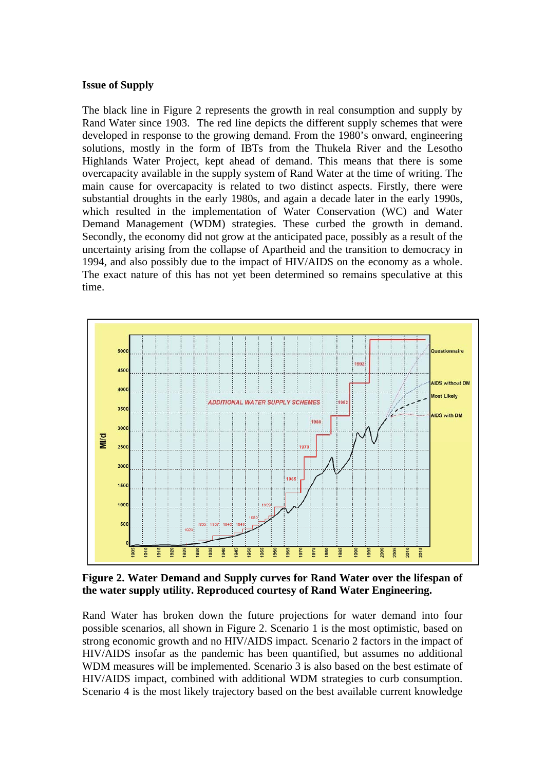### **Issue of Supply**

The black line in Figure 2 represents the growth in real consumption and supply by Rand Water since 1903. The red line depicts the different supply schemes that were developed in response to the growing demand. From the 1980's onward, engineering solutions, mostly in the form of IBTs from the Thukela River and the Lesotho Highlands Water Project, kept ahead of demand. This means that there is some overcapacity available in the supply system of Rand Water at the time of writing. The main cause for overcapacity is related to two distinct aspects. Firstly, there were substantial droughts in the early 1980s, and again a decade later in the early 1990s, which resulted in the implementation of Water Conservation (WC) and Water Demand Management (WDM) strategies. These curbed the growth in demand. Secondly, the economy did not grow at the anticipated pace, possibly as a result of the uncertainty arising from the collapse of Apartheid and the transition to democracy in 1994, and also possibly due to the impact of HIV/AIDS on the economy as a whole. The exact nature of this has not yet been determined so remains speculative at this time.



**Figure 2. Water Demand and Supply curves for Rand Water over the lifespan of the water supply utility. Reproduced courtesy of Rand Water Engineering.** 

Rand Water has broken down the future projections for water demand into four possible scenarios, all shown in Figure 2. Scenario 1 is the most optimistic, based on strong economic growth and no HIV/AIDS impact. Scenario 2 factors in the impact of HIV/AIDS insofar as the pandemic has been quantified, but assumes no additional WDM measures will be implemented. Scenario 3 is also based on the best estimate of HIV/AIDS impact, combined with additional WDM strategies to curb consumption. Scenario 4 is the most likely trajectory based on the best available current knowledge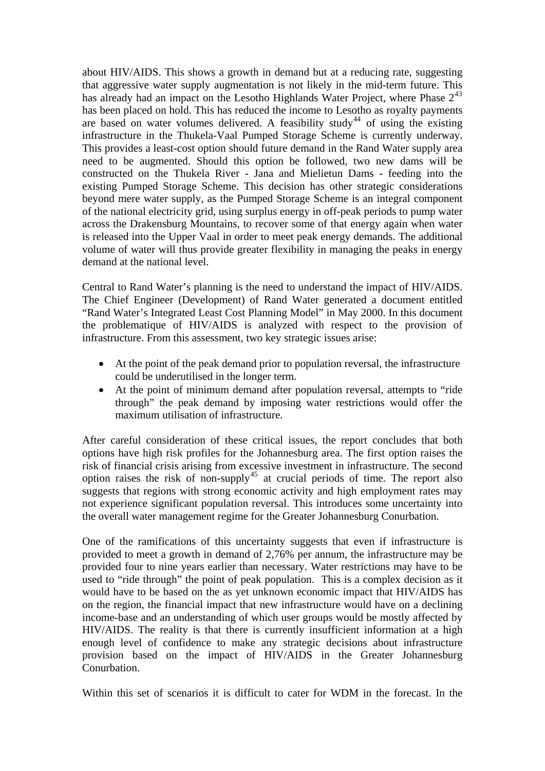about HIV/AIDS. This shows a growth in demand but at a reducing rate, suggesting that aggressive water supply augmentation is not likely in the mid-term future. This has already had an impact on the Lesotho Highlands Water Project, where Phase  $2^{43}$  $2^{43}$  $2^{43}$ has been placed on hold. This has reduced the income to Lesotho as royalty payments are based on water volumes delivered. A feasibility study<sup>[44](#page-25-1)</sup> of using the existing infrastructure in the Thukela-Vaal Pumped Storage Scheme is currently underway. This provides a least-cost option should future demand in the Rand Water supply area need to be augmented. Should this option be followed, two new dams will be constructed on the Thukela River - Jana and Mielietun Dams - feeding into the existing Pumped Storage Scheme. This decision has other strategic considerations beyond mere water supply, as the Pumped Storage Scheme is an integral component of the national electricity grid, using surplus energy in off-peak periods to pump water across the Drakensburg Mountains, to recover some of that energy again when water is released into the Upper Vaal in order to meet peak energy demands. The additional volume of water will thus provide greater flexibility in managing the peaks in energy demand at the national level.

Central to Rand Water's planning is the need to understand the impact of HIV/AIDS. The Chief Engineer (Development) of Rand Water generated a document entitled "Rand Water's Integrated Least Cost Planning Model" in May 2000. In this document the problematique of HIV/AIDS is analyzed with respect to the provision of infrastructure. From this assessment, two key strategic issues arise:

- At the point of the peak demand prior to population reversal, the infrastructure could be underutilised in the longer term.
- At the point of minimum demand after population reversal, attempts to "ride through" the peak demand by imposing water restrictions would offer the maximum utilisation of infrastructure.

After careful consideration of these critical issues, the report concludes that both options have high risk profiles for the Johannesburg area. The first option raises the risk of financial crisis arising from excessive investment in infrastructure. The second option raises the risk of non-supply<sup>[45](#page-25-1)</sup> at crucial periods of time. The report also suggests that regions with strong economic activity and high employment rates may not experience significant population reversal. This introduces some uncertainty into the overall water management regime for the Greater Johannesburg Conurbation.

One of the ramifications of this uncertainty suggests that even if infrastructure is provided to meet a growth in demand of 2,76% per annum, the infrastructure may be provided four to nine years earlier than necessary. Water restrictions may have to be used to "ride through" the point of peak population. This is a complex decision as it would have to be based on the as yet unknown economic impact that HIV/AIDS has on the region, the financial impact that new infrastructure would have on a declining income-base and an understanding of which user groups would be mostly affected by HIV/AIDS. The reality is that there is currently insufficient information at a high enough level of confidence to make any strategic decisions about infrastructure provision based on the impact of HIV/AIDS in the Greater Johannesburg Conurbation.

Within this set of scenarios it is difficult to cater for WDM in the forecast. In the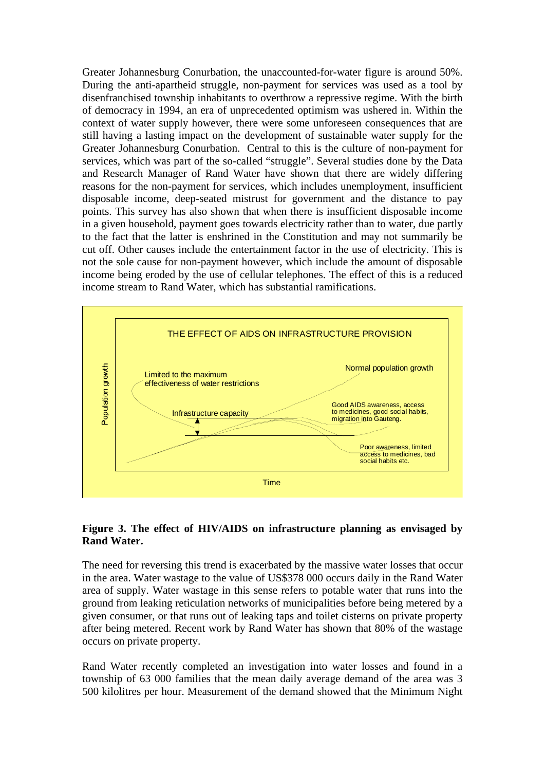Greater Johannesburg Conurbation, the unaccounted-for-water figure is around 50%. During the anti-apartheid struggle, non-payment for services was used as a tool by disenfranchised township inhabitants to overthrow a repressive regime. With the birth of democracy in 1994, an era of unprecedented optimism was ushered in. Within the context of water supply however, there were some unforeseen consequences that are still having a lasting impact on the development of sustainable water supply for the Greater Johannesburg Conurbation. Central to this is the culture of non-payment for services, which was part of the so-called "struggle". Several studies done by the Data and Research Manager of Rand Water have shown that there are widely differing reasons for the non-payment for services, which includes unemployment, insufficient disposable income, deep-seated mistrust for government and the distance to pay points. This survey has also shown that when there is insufficient disposable income in a given household, payment goes towards electricity rather than to water, due partly to the fact that the latter is enshrined in the Constitution and may not summarily be cut off. Other causes include the entertainment factor in the use of electricity. This is not the sole cause for non-payment however, which include the amount of disposable income being eroded by the use of cellular telephones. The effect of this is a reduced income stream to Rand Water, which has substantial ramifications.



### **Figure 3. The effect of HIV/AIDS on infrastructure planning as envisaged by Rand Water.**

The need for reversing this trend is exacerbated by the massive water losses that occur in the area. Water wastage to the value of US\$378 000 occurs daily in the Rand Water area of supply. Water wastage in this sense refers to potable water that runs into the ground from leaking reticulation networks of municipalities before being metered by a given consumer, or that runs out of leaking taps and toilet cisterns on private property after being metered. Recent work by Rand Water has shown that 80% of the wastage occurs on private property.

Rand Water recently completed an investigation into water losses and found in a township of 63 000 families that the mean daily average demand of the area was 3 500 kilolitres per hour. Measurement of the demand showed that the Minimum Night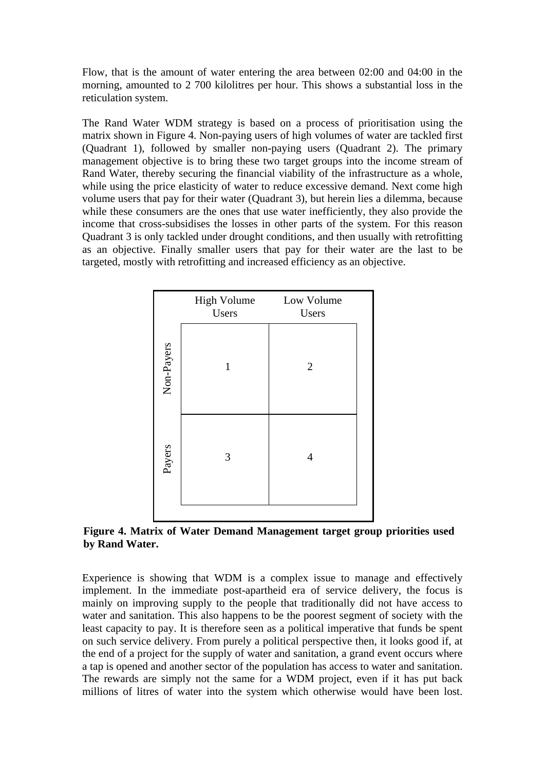Flow, that is the amount of water entering the area between 02:00 and 04:00 in the morning, amounted to 2 700 kilolitres per hour. This shows a substantial loss in the reticulation system.

The Rand Water WDM strategy is based on a process of prioritisation using the matrix shown in Figure 4. Non-paying users of high volumes of water are tackled first (Quadrant 1), followed by smaller non-paying users (Quadrant 2). The primary management objective is to bring these two target groups into the income stream of Rand Water, thereby securing the financial viability of the infrastructure as a whole, while using the price elasticity of water to reduce excessive demand. Next come high volume users that pay for their water (Quadrant 3), but herein lies a dilemma, because while these consumers are the ones that use water inefficiently, they also provide the income that cross-subsidises the losses in other parts of the system. For this reason Quadrant 3 is only tackled under drought conditions, and then usually with retrofitting as an objective. Finally smaller users that pay for their water are the last to be targeted, mostly with retrofitting and increased efficiency as an objective.

|            | <b>High Volume</b><br>Users | Low Volume<br>Users |  |
|------------|-----------------------------|---------------------|--|
| Non-Payers | 1                           | $\overline{2}$      |  |
| Payers     | 3                           | 4                   |  |

**Figure 4. Matrix of Water Demand Management target group priorities used by Rand Water.** 

Experience is showing that WDM is a complex issue to manage and effectively implement. In the immediate post-apartheid era of service delivery, the focus is mainly on improving supply to the people that traditionally did not have access to water and sanitation. This also happens to be the poorest segment of society with the least capacity to pay. It is therefore seen as a political imperative that funds be spent on such service delivery. From purely a political perspective then, it looks good if, at the end of a project for the supply of water and sanitation, a grand event occurs where a tap is opened and another sector of the population has access to water and sanitation. The rewards are simply not the same for a WDM project, even if it has put back millions of litres of water into the system which otherwise would have been lost.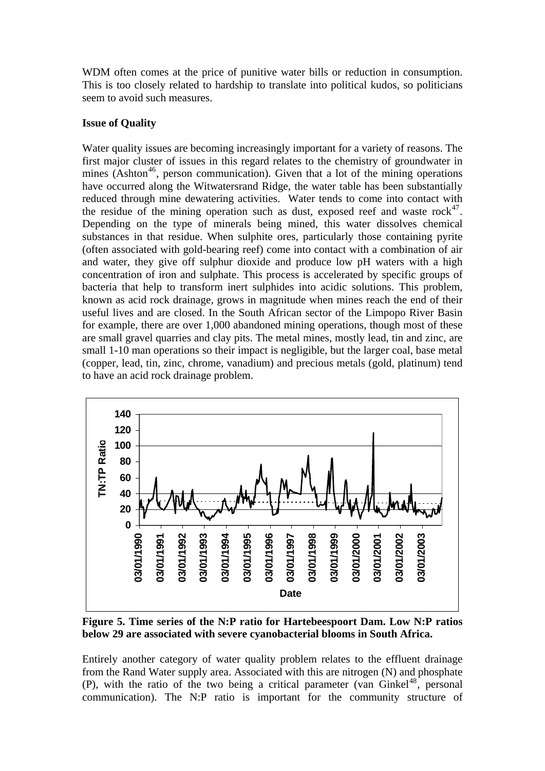WDM often comes at the price of punitive water bills or reduction in consumption. This is too closely related to hardship to translate into political kudos, so politicians seem to avoid such measures.

### **Issue of Quality**

Water quality issues are becoming increasingly important for a variety of reasons. The first major cluster of issues in this regard relates to the chemistry of groundwater in mines (Ashton<sup>[46](#page-25-1)</sup>, person communication). Given that a lot of the mining operations have occurred along the Witwatersrand Ridge, the water table has been substantially reduced through mine dewatering activities. Water tends to come into contact with the residue of the mining operation such as dust, exposed reef and waste  $rock^{47}$  $rock^{47}$  $rock^{47}$ . Depending on the type of minerals being mined, this water dissolves chemical substances in that residue. When sulphite ores, particularly those containing pyrite (often associated with gold-bearing reef) come into contact with a combination of air and water, they give off sulphur dioxide and produce low pH waters with a high concentration of iron and sulphate. This process is accelerated by specific groups of bacteria that help to transform inert sulphides into acidic solutions. This problem, known as acid rock drainage, grows in magnitude when mines reach the end of their useful lives and are closed. In the South African sector of the Limpopo River Basin for example, there are over 1,000 abandoned mining operations, though most of these are small gravel quarries and clay pits. The metal mines, mostly lead, tin and zinc, are small 1-10 man operations so their impact is negligible, but the larger coal, base metal (copper, lead, tin, zinc, chrome, vanadium) and precious metals (gold, platinum) tend to have an acid rock drainage problem.



**Figure 5. Time series of the N:P ratio for Hartebeespoort Dam. Low N:P ratios below 29 are associated with severe cyanobacterial blooms in South Africa.** 

Entirely another category of water quality problem relates to the effluent drainage from the Rand Water supply area. Associated with this are nitrogen (N) and phosphate (P), with the ratio of the two being a critical parameter (van Ginkel<sup>[48](#page-25-1)</sup>, personal communication). The N:P ratio is important for the community structure of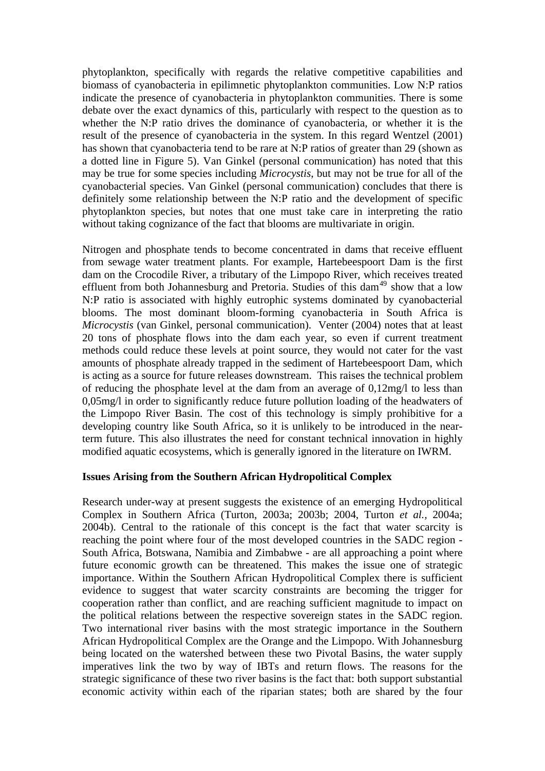phytoplankton, specifically with regards the relative competitive capabilities and biomass of cyanobacteria in epilimnetic phytoplankton communities. Low N:P ratios indicate the presence of cyanobacteria in phytoplankton communities. There is some debate over the exact dynamics of this, particularly with respect to the question as to whether the N:P ratio drives the dominance of cyanobacteria, or whether it is the result of the presence of cyanobacteria in the system. In this regard Wentzel (2001) has shown that cyanobacteria tend to be rare at N:P ratios of greater than 29 (shown as a dotted line in Figure 5). Van Ginkel (personal communication) has noted that this may be true for some species including *Microcystis*, but may not be true for all of the cyanobacterial species. Van Ginkel (personal communication) concludes that there is definitely some relationship between the N:P ratio and the development of specific phytoplankton species, but notes that one must take care in interpreting the ratio without taking cognizance of the fact that blooms are multivariate in origin.

Nitrogen and phosphate tends to become concentrated in dams that receive effluent from sewage water treatment plants. For example, Hartebeespoort Dam is the first dam on the Crocodile River, a tributary of the Limpopo River, which receives treated effluent from both Johannesburg and Pretoria. Studies of this dam<sup>[49](#page-25-1)</sup> show that a low N:P ratio is associated with highly eutrophic systems dominated by cyanobacterial blooms. The most dominant bloom-forming cyanobacteria in South Africa is *Microcystis* (van Ginkel, personal communication). Venter (2004) notes that at least 20 tons of phosphate flows into the dam each year, so even if current treatment methods could reduce these levels at point source, they would not cater for the vast amounts of phosphate already trapped in the sediment of Hartebeespoort Dam, which is acting as a source for future releases downstream. This raises the technical problem of reducing the phosphate level at the dam from an average of 0,12mg/l to less than 0,05mg/l in order to significantly reduce future pollution loading of the headwaters of the Limpopo River Basin. The cost of this technology is simply prohibitive for a developing country like South Africa, so it is unlikely to be introduced in the nearterm future. This also illustrates the need for constant technical innovation in highly modified aquatic ecosystems, which is generally ignored in the literature on IWRM.

### **ssues Arising from the Southern African Hydropolitical Complex I**

Research under-way at present suggests the existence of an emerging Hydropolitical Complex in Southern Africa (Turton, 2003a; 2003b; 2004, Turton *et al.,* 2004a; 2004b). Central to the rationale of this concept is the fact that water scarcity is reaching the point where four of the most developed countries in the SADC region - South Africa, Botswana, Namibia and Zimbabwe - are all approaching a point where future economic growth can be threatened. This makes the issue one of strategic importance. Within the Southern African Hydropolitical Complex there is sufficient evidence to suggest that water scarcity constraints are becoming the trigger for cooperation rather than conflict, and are reaching sufficient magnitude to impact on the political relations between the respective sovereign states in the SADC region. Two international river basins with the most strategic importance in the Southern African Hydropolitical Complex are the Orange and the Limpopo. With Johannesburg being located on the watershed between these two Pivotal Basins, the water supply imperatives link the two by way of IBTs and return flows. The reasons for the strategic significance of these two river basins is the fact that: both support substantial economic activity within each of the riparian states; both are shared by the four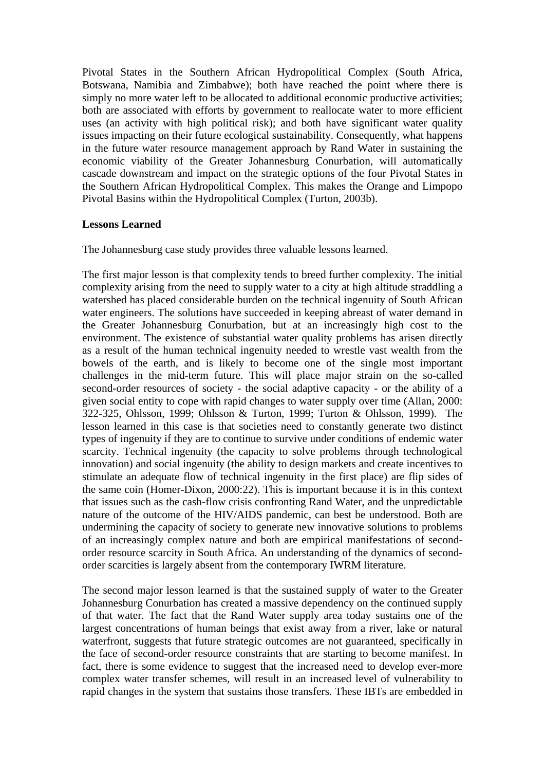Pivotal States in the Southern African Hydropolitical Complex (South Africa, Botswana, Namibia and Zimbabwe); both have reached the point where there is simply no more water left to be allocated to additional economic productive activities; both are associated with efforts by government to reallocate water to more efficient uses (an activity with high political risk); and both have significant water quality issues impacting on their future ecological sustainability. Consequently, what happens in the future water resource management approach by Rand Water in sustaining the economic viability of the Greater Johannesburg Conurbation, will automatically cascade downstream and impact on the strategic options of the four Pivotal States in the Southern African Hydropolitical Complex. This makes the Orange and Limpopo Pivotal Basins within the Hydropolitical Complex (Turton, 2003b).

### **Lessons Learned**

The Johannesburg case study provides three valuable lessons learned.

The first major lesson is that complexity tends to breed further complexity. The initial complexity arising from the need to supply water to a city at high altitude straddling a watershed has placed considerable burden on the technical ingenuity of South African water engineers. The solutions have succeeded in keeping abreast of water demand in the Greater Johannesburg Conurbation, but at an increasingly high cost to the environment. The existence of substantial water quality problems has arisen directly as a result of the human technical ingenuity needed to wrestle vast wealth from the bowels of the earth, and is likely to become one of the single most important challenges in the mid-term future. This will place major strain on the so-called second-order resources of society - the social adaptive capacity - or the ability of a given social entity to cope with rapid changes to water supply over time (Allan, 2000: 322-325, Ohlsson, 1999; Ohlsson & Turton, 1999; Turton & Ohlsson, 1999). The lesson learned in this case is that societies need to constantly generate two distinct types of ingenuity if they are to continue to survive under conditions of endemic water scarcity. Technical ingenuity (the capacity to solve problems through technological innovation) and social ingenuity (the ability to design markets and create incentives to stimulate an adequate flow of technical ingenuity in the first place) are flip sides of the same coin (Homer-Dixon, 2000:22). This is important because it is in this context that issues such as the cash-flow crisis confronting Rand Water, and the unpredictable nature of the outcome of the HIV/AIDS pandemic, can best be understood. Both are undermining the capacity of society to generate new innovative solutions to problems of an increasingly complex nature and both are empirical manifestations of secondorder resource scarcity in South Africa. An understanding of the dynamics of secondorder scarcities is largely absent from the contemporary IWRM literature.

The second major lesson learned is that the sustained supply of water to the Greater Johannesburg Conurbation has created a massive dependency on the continued supply of that water. The fact that the Rand Water supply area today sustains one of the largest concentrations of human beings that exist away from a river, lake or natural waterfront, suggests that future strategic outcomes are not guaranteed, specifically in the face of second-order resource constraints that are starting to become manifest. In fact, there is some evidence to suggest that the increased need to develop ever-more complex water transfer schemes, will result in an increased level of vulnerability to rapid changes in the system that sustains those transfers. These IBTs are embedded in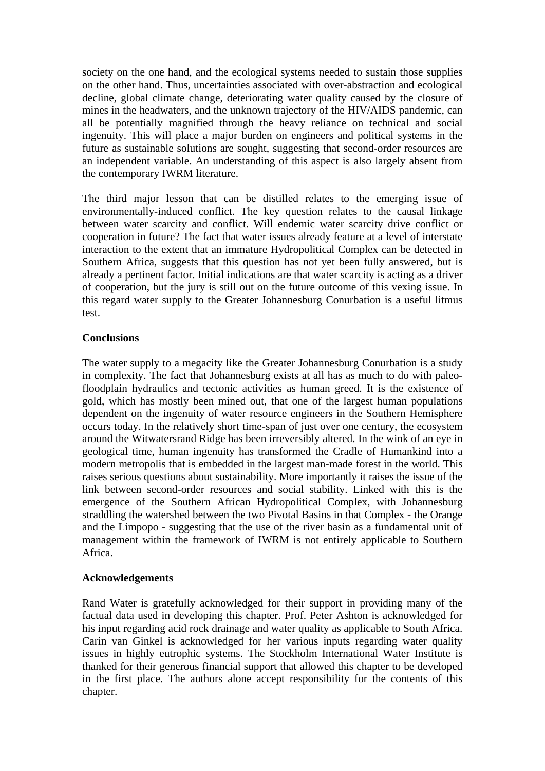society on the one hand, and the ecological systems needed to sustain those supplies on the other hand. Thus, uncertainties associated with over-abstraction and ecological decline, global climate change, deteriorating water quality caused by the closure of mines in the headwaters, and the unknown trajectory of the HIV/AIDS pandemic, can all be potentially magnified through the heavy reliance on technical and social ingenuity. This will place a major burden on engineers and political systems in the future as sustainable solutions are sought, suggesting that second-order resources are an independent variable. An understanding of this aspect is also largely absent from the contemporary IWRM literature.

The third major lesson that can be distilled relates to the emerging issue of environmentally-induced conflict. The key question relates to the causal linkage between water scarcity and conflict. Will endemic water scarcity drive conflict or cooperation in future? The fact that water issues already feature at a level of interstate interaction to the extent that an immature Hydropolitical Complex can be detected in Southern Africa, suggests that this question has not yet been fully answered, but is already a pertinent factor. Initial indications are that water scarcity is acting as a driver of cooperation, but the jury is still out on the future outcome of this vexing issue. In this regard water supply to the Greater Johannesburg Conurbation is a useful litmus test.

### **onclusions C**

The water supply to a megacity like the Greater Johannesburg Conurbation is a study in complexity. The fact that Johannesburg exists at all has as much to do with paleofloodplain hydraulics and tectonic activities as human greed. It is the existence of gold, which has mostly been mined out, that one of the largest human populations dependent on the ingenuity of water resource engineers in the Southern Hemisphere occurs today. In the relatively short time-span of just over one century, the ecosystem around the Witwatersrand Ridge has been irreversibly altered. In the wink of an eye in geological time, human ingenuity has transformed the Cradle of Humankind into a modern metropolis that is embedded in the largest man-made forest in the world. This raises serious questions about sustainability. More importantly it raises the issue of the link between second-order resources and social stability. Linked with this is the emergence of the Southern African Hydropolitical Complex, with Johannesburg straddling the watershed between the two Pivotal Basins in that Complex - the Orange and the Limpopo - suggesting that the use of the river basin as a fundamental unit of management within the framework of IWRM is not entirely applicable to Southern Africa.

### **cknowledgements A**

Rand Water is gratefully acknowledged for their support in providing many of the chapter. factual data used in developing this chapter. Prof. Peter Ashton is acknowledged for his input regarding acid rock drainage and water quality as applicable to South Africa. Carin van Ginkel is acknowledged for her various inputs regarding water quality issues in highly eutrophic systems. The Stockholm International Water Institute is thanked for their generous financial support that allowed this chapter to be developed in the first place. The authors alone accept responsibility for the contents of this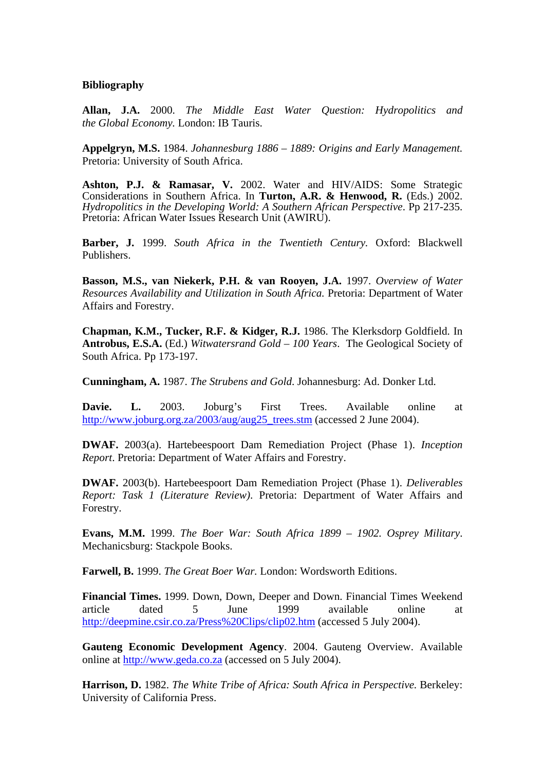#### **Bibliography**

2000. *The Middle East Water Question: Hydropolitics and*  **Allan, J.A.** *e Global Economy.* London: IB Tauris. *th*

Appelgryn, M.S. 1984. *Johannesburg 1886 - 1889: Origins and Early Management.* Pretoria: University of South Africa.

Ashton, P.J. & Ramasar, V. 2002. Water and HIV/AIDS: Some Strategic Considerations in Southern Africa. In Turton, A.R. & Henwood, R. (Eds.) 2002. *Hydropolitics in the Developing World: A Southern African Perspective*. Pp 217-235. Pretoria: African Water Issues Research Unit (AWIRU).

Barber, J. 1999. South Africa in the Twentieth Century. Oxford: Blackwell Publishers.

Basson, M.S., van Niekerk, P.H. & van Rooyen, J.A. 1997. Overview of Water Resources Availability and Utilization in South Africa. Pretoria: Department of Water Affairs and Forestry.

Chapman, K.M., Tucker, R.F. & Kidger, R.J. 1986. The Klerksdorp Goldfield. In Antrobus, E.S.A. (Ed.) *Witwatersrand Gold - 100 Years*. The Geological Society of South Africa. Pp 173-197.

 *Strubens and Gold*. Johannesburg: Ad. Donker Ltd. **Cunningham, A.** 1987. *The*

at http://www.joburg.org.za/2003/aug/aug25\_trees.stm (accessed 2 June 2004). Davie. L. 2003. Joburg's First Trees. Available online

**DWAF.** 2003(a). Hartebeespoort Dam Remediation Project (Phase 1). *Inception eport*. Pretoria: Department of Water Affairs and Forestry. *R*

**DWAF.** 2003(b). Hartebeespoort Dam Remediation Project (Phase 1). Deliverables Report: Task 1 (Literature Review). Pretoria: Department of Water Affairs and Forestry.

**Evans, M.M.** 1999. The Boer War: South Africa 1899 – 1902. Osprey Military. Mechanicsburg: Stackpole Books.

Farwell, B. 1999. *The Great Boer War*. London: Wordsworth Editions.

Financial Times. 1999. Down, Down, Deeper and Down. Financial Times Weekend rticle dated 5 June 1999 available online at article http://deepmine.csir.co.za/Press%20Clips/clip02.htm (accessed 5 July 2004).

**Gauteng Economic Development Agency**. 2004. Gauteng Overview. Available online at http://www.geda.co.za (accessed on 5 July 2004).

Harrison, D. 1982. The White Tribe of Africa: South Africa in Perspective. Berkeley: University of California Press.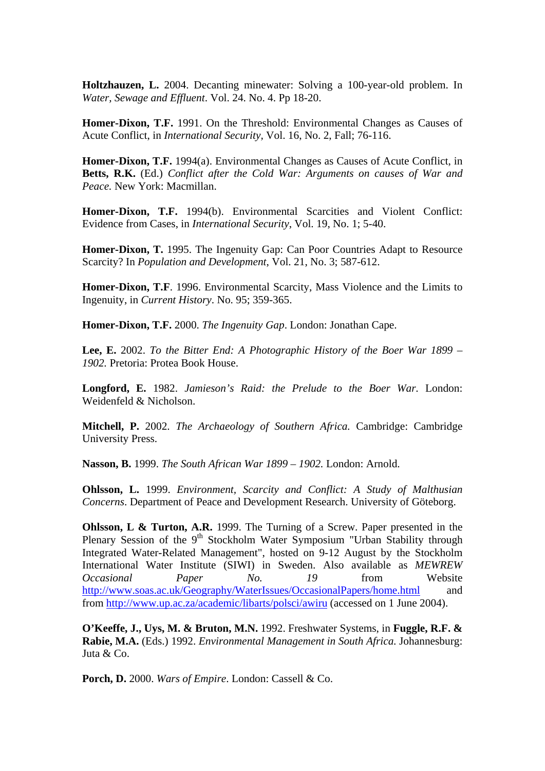**Holtzhauzen, L.** 2004. Decanting minewater: Solving a 100-year-old problem. In Water, Sewage and Effluent. Vol. 24. No. 4. Pp 18-20.

Homer-Dixon, T.F. 1991. On the Threshold: Environmental Changes as Causes of Acute Conflict, in *International Security*, Vol. 16, No. 2, Fall; 76-116.

Homer-Dixon, T.F. 1994(a). Environmental Changes as Causes of Acute Conflict, in Betts, R.K. (Ed.) Conflict after the Cold War: Arguments on causes of War and *Peace.* New York: Macmillan.

Homer-Dixon, T.F. 1994(b). Environmental Scarcities and Violent Conflict: Evidence from Cases, in *International Security*, Vol. 19, No. 1; 5-40.

Homer-Dixon, T. 1995. The Ingenuity Gap: Can Poor Countries Adapt to Resource Scarcity? In *Population and Development*, Vol. 21, No. 3; 587-612.

Homer-Dixon, T.F. 1996. Environmental Scarcity, Mass Violence and the Limits to Ingenuity, in *Current History*. No. 95; 359-365.

Homer-Dixon, T.F. 2000. *The Ingenuity Gap*. London: Jonathan Cape.

**Lee, E.** 2002. To the Bitter End: A Photographic History of the Boer War 1899 – *902.* Pretoria: Protea Book House. *1*

Longford, E. 1982. Jamieson's Raid: the Prelude to the Boer War. London: Weidenfeld & Nicholson.

Mitchell, P. 2002. The Archaeology of Southern Africa. Cambridge: Cambridge University Press.

Nasson, B. 1999. *The South African War 1899 – 1902*. London: Arnold.

*Malthusian*  **Ohlsson, L.** 1999. *Environment, Scarcity and Conflict: A Study of*  Concerns. Department of Peace and Development Research. University of Göteborg.

Plenary Session of the 9<sup>th</sup> Stockholm Water Symposium "Urban Stability through **Ohlsson, L & Turton, A.R.** 1999. The Turning of a Screw. Paper presented in the Integrated Water-Related Management", hosted on 9-12 August by the Stockholm International Water Institute (SIWI) in Sweden. Also available as *MEWREW Occasional Paper No. 19* from Website <http://www.soas.ac.uk/Geography/WaterIssues/OccasionalPapers/home.html> and from<http://www.up.ac.za/academic/libarts/polsci/awiru>(accessed on 1 June 2004).

**O'Keeffe, J., Uys, M. & Bruton, M.N.** 1992. Freshwater Systems, in **Fuggle, R.F. &** Rabie, M.A. (Eds.) 1992. *Environmental Management in South Africa*. Johannesburg: Juta & Co.

Porch, D. 2000. Wars of Empire. London: Cassell & Co.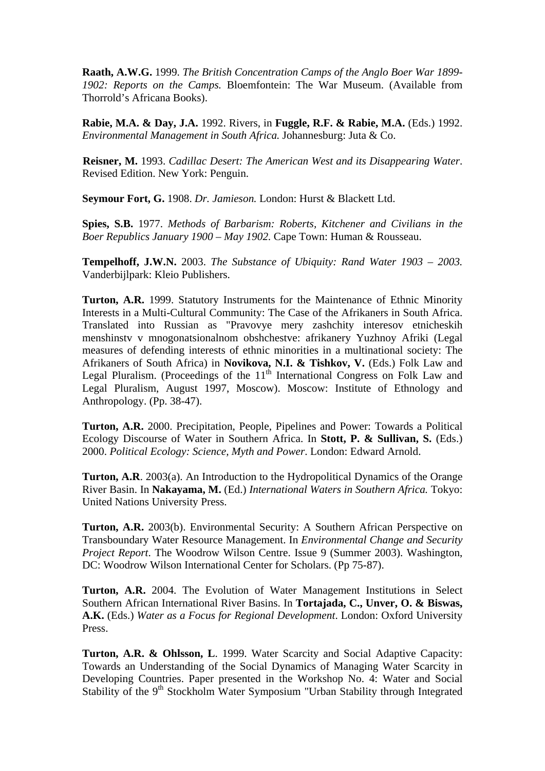**Raath, A.W.G.** 1999. *The British Concentration Camps of the Anglo Boer War 1899-* 1902: Reports on the Camps. Bloemfontein: The War Museum. (Available from Thorrold's Africana Books).

Rabie, M.A. & Day, J.A. 1992. Rivers, in Fuggle, R.F. & Rabie, M.A. (Eds.) 1992. Environmental Management in South Africa. Johannesburg: Juta & Co.

Reisner, M. 1993. Cadillac Desert: The American West and its Disappearing Water. Revised Edition. New York: Penguin.

Seymour Fort, G. 1908. *Dr. Jamieson*. London: Hurst & Blackett Ltd.

Spies, S.B. 1977. Methods of Barbarism: Roberts, Kitchener and Civilians in the Boer Republics January 1900 – May 1902. Cape Town: Human & Rousseau.

 *2003.* **Tempelhoff, J.W.N.** 2003. *The Substance of Ubiquity: Rand Water 1903 –* Vanderbijlpark: Kleio Publishers.

Turton, A.R. 1999. Statutory Instruments for the Maintenance of Ethnic Minority Interests in a Multi-Cultural Community: The Case of the Afrikaners in South Africa. Translated into Russian as "Pravovye mery zashchity interesov etnicheskih menshinstv v mnogonatsionalnom obshchestve: afrikanery Yuzhnoy Afriki (Legal measures of defending interests of ethnic minorities in a multinational society: The Afrikaners of South Africa) in **Novikova, N.I. & Tishkov, V.** (Eds.) Folk Law and Legal Pluralism. (Proceedings of the  $11<sup>th</sup>$  International Congress on Folk Law and Legal Pluralism, August 1997, Moscow). Moscow: Institute of Ethnology and Anthropology. (Pp. 38-47).

Turton, A.R. 2000. Precipitation, People, Pipelines and Power: Towards a Political Ecology Discourse of Water in Southern Africa. In Stott, P. & Sullivan, S. (Eds.) 2000. *Political Ecology: Science, Myth and Power*. London: Edward Arnold.

Turton, A.R. 2003(a). An Introduction to the Hydropolitical Dynamics of the Orange River Basin. In Nakayama, M. (Ed.) International Waters in Southern Africa. Tokyo: United Nations University Press.

Turton, A.R. 2003(b). Environmental Security: A Southern African Perspective on Transboundary Water Resource Management. In *Environmental Change and Security Project Report*. The Woodrow Wilson Centre. Issue 9 (Summer 2003). Washington, DC: Woodrow Wilson International Center for Scholars. (Pp 75-87).

Turton, A.R. 2004. The Evolution of Water Management Institutions in Select Southern African International River Basins. In Tortajada, C., Unver, O. & Biswas, **A.K.** (Eds.) *Water as a Focus for Regional Development*. London: Oxford University Press.

Turton, A.R. & Ohlsson, L. 1999. Water Scarcity and Social Adaptive Capacity: Towards an Understanding of the Social Dynamics of Managing Water Scarcity in Developing Countries. Paper presented in the Workshop No. 4: Water and Social Stability of the 9<sup>th</sup> Stockholm Water Symposium "Urban Stability through Integrated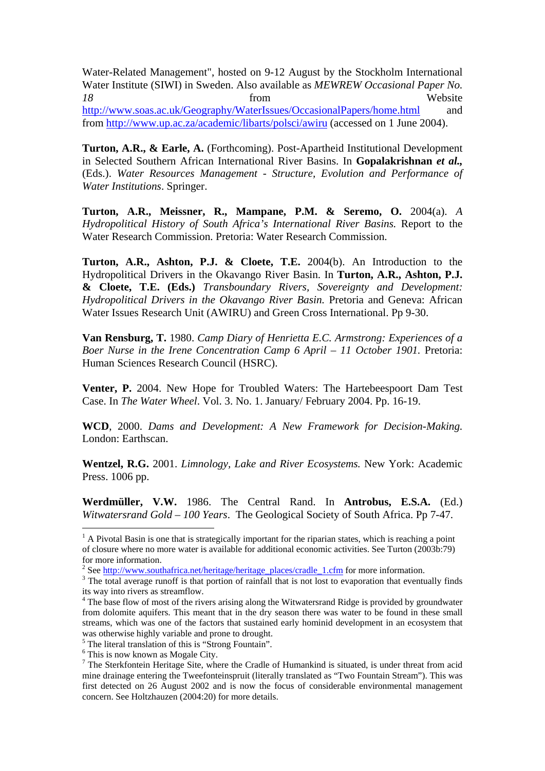Water-Related Management", hosted on 9-12 August by the Stockholm International Water Institute (SIWI) in Sweden. Also available as *MEWREW Occasional Paper No. 18* from Website <http://www.soas.ac.uk/Geography/WaterIssues/OccasionalPapers/home.html> and from<http://www.up.ac.za/academic/libarts/polsci/awiru>(accessed on 1 June 2004).

**Turton, A.R., & Earle, A.** (Forthcoming). Post-Apartheid Institutional Development in Selected Southern African International River Basins. In Gopalakrishnan et al., (Eds.). *Water Resources Management - Structure, Evolution and Performance of Water Institutions*. Springer.

**R., Mampane, P.M. & Seremo, O.** 2004(a). *A*  **Turton, A.R., Meissner,**  Hydropolitical History of South Africa's International River Basins. Report to the Water Research Commission. Pretoria: Water Research Commission.

Turton, A.R., Ashton, P.J. & Cloete, T.E. 2004(b). An Introduction to the Hydropolitical Drivers in the Okavango River Basin. In Turton, A.R., Ashton, P.J. **& Cloete, T.E. (Eds.)** *Transboundary Rivers, Sovereignty and Development: Hydropolitical Drivers in the Okavango River Basin.* Pretoria and Geneva: African Water Issues Research Unit (AWIRU) and Green Cross International. Pp 9-30.

Van Rensburg, T. 1980. *Camp Diary of Henrietta E.C. Armstrong: Experiences of a* Boer Nurse in the Irene Concentration Camp 6 April - 11 October 1901. Pretoria: Human Sciences Research Council (HSRC).

Venter, P. 2004. New Hope for Troubled Waters: The Hartebeespoort Dam Test Case. In *The Water Wheel*. Vol. 3. No. 1. January/ February 2004. Pp. 16-19.

WCD, 2000. *Dams and Development: A New Framework for Decision-Making.* London: Earthscan.

Wentzel, R.G. 2001. Limnology, Lake and River Ecosystems. New York: Academic Press. 1006 pp.

**.W.** 1986. The Central Rand. In **Antrobus, E.S.A.** (Ed.) **Werdmüller, V** Witwatersrand Gold - 100 Years. The Geological Society of South Africa. Pp 7-47.

 $\overline{a}$ 

 $<sup>1</sup>$  A Pivotal Basin is one that is strategically important for the riparian states, which is reaching a point</sup> of closure where no more water is available for additional economic activities. See Turton (2003b:79) for more information.

<sup>&</sup>lt;sup>2</sup> See <u>http://www.southafrica.net/heritage/heritage\_places/cradle\_1.cfm</u> for more information.  $\frac{3}{2}$ . The total system and is that perfine of rainfall that is not lost to avaparation that avantum

<sup>&</sup>lt;sup>3</sup> The total average runoff is that portion of rainfall that is not lost to evaporation that eventually finds its way into rivers as streamflow. 4 The base flow of most of the rivers arising along the Witwatersrand Ridge is provided by groundwater

from dolomite aquifers. This meant that in the dry season there was water to be found in these small streams, which was one of the factors that sustained early hominid development in an ecosystem that was otherwise highly variable and prone to drought.

<sup>&</sup>lt;sup>5</sup> The literal translation of this is "Strong Fountain".

<sup>&</sup>lt;sup>6</sup> This is now known as Mogale City.

 $^7$  The Sterkfontein Heritage Site, where the Cradle of Humankind is situated, is under threat from acid mine drainage entering the Tweefonteinspruit (literally translated as "Two Fountain Stream"). This was first detected on 26 August 2002 and is now the focus of considerable environmental management concern. See Holtzhauzen (2004:20) for more details.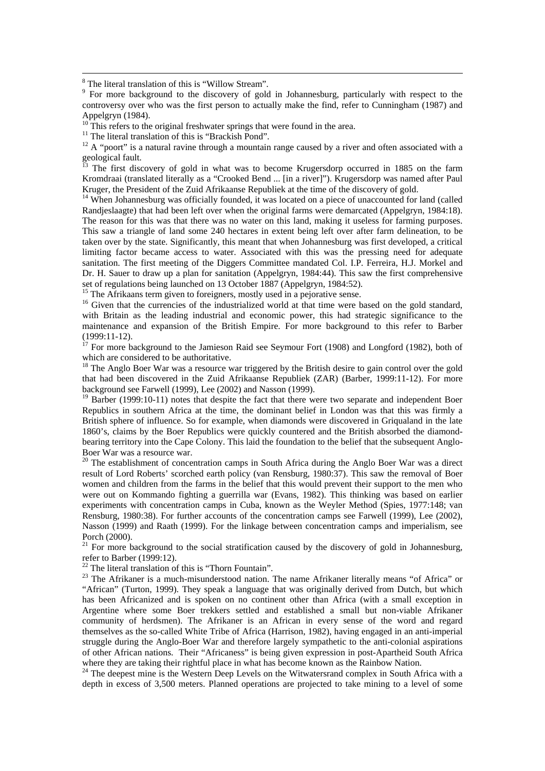rred in 1885 on the farm Kromdraai (translated literally as a "Crooked Bend ... [in a river]"). Krugersdorp was named after Paul Kruger, the President of the Zuid Afrikaanse Republiek at the time of the discovery of gold.<br><sup>14</sup> When Johannesburg was officially founded, it was located on a piece of unaccounted for land (called  $^{\overline{13}}$  The first discovery of gold in what was to become Krugersdorp occu

This saw a triangle of land some 240 hectares in extent being left over after farm delineation, to be Randjeslaagte) that had been left over when the original farms were demarcated (Appelgryn, 1984:18). The reason for this was that there was no water on this land, making it useless for farming purposes. taken over by the state. Significantly, this meant that when Johannesburg was first developed, a critical limiting factor became access to water. Associated with this was the pressing need for adequate sanitation. The first meeting of the Diggers Committee mandated Col. I.P. Ferreira, H.J. Morkel and Dr. H. Sauer to draw up a plan for sanitation (Appelgryn, 1984:44). This saw the first comprehensive set of regulations being launched on 13 October 1887 (Appelgryn, 1984:52).

<sup>15</sup> The Afrikaans term given to foreigners, mostly used in a pejorative sense.

maintenance and expansion of the British Empire. For more background to this refer to Barber <sup>16</sup> Given that the currencies of the industrialized world at that time were based on the gold standard, with Britain as the leading industrial and economic power, this had strategic significance to the (1999:11-12).

 $17$  For more background to the Jamieson Raid see Seymour Fort (1908) and Longford (1982), both of which are considered to be authoritative.

that had been discovered in the Zuid Afrikaanse Republiek (ZAR) (Barber, 1999:11-12). For more <sup>18</sup> The Anglo Boer War was a resource war triggered by the British desire to gain control over the gold background see Farwell (1999), Lee (2002) and Nasson (1999).

 $19$  Barber (1999:10-11) notes that despite the fact that there were two separate and independent Boer 1860's, claims by the Boer Republics were quickly countered and the British absorbed the diamond-Republics in southern Africa at the time, the dominant belief in London was that this was firmly a British sphere of influence. So for example, when diamonds were discovered in Griqualand in the late bearing territory into the Cape Colony. This laid the foundation to the belief that the subsequent Anglo-Boer War was a resource war.

were out on Kommando fighting a guerrilla war (Evans, 1982). This thinking was based on earlier  $20$  The establishment of concentration camps in South Africa during the Anglo Boer War was a direct result of Lord Roberts' scorched earth policy (van Rensburg, 1980:37). This saw the removal of Boer women and children from the farms in the belief that this would prevent their support to the men who experiments with concentration camps in Cuba, known as the Weyler Method (Spies, 1977:148; van Rensburg, 1980:38). For further accounts of the concentration camps see Farwell (1999), Lee (2002), Nasson (1999) and Raath (1999). For the linkage between concentration camps and imperialism, see Porch (2000).

<sup>21</sup> For more background to the social stratification caused by the discovery of gold in Johannesburg, refer to Barber (1999:12).<br><sup>22</sup> The literal translation of this is "Thorn Fountain".

<sup>22</sup> The literal translation of this is "Thorn Fountain".<br><sup>23</sup> The Afrikaner is a much-misunderstood nation. The name Afrikaner literally means "of Africa" or has been Africanized and is spoken on no continent other than Africa (with a small exception in Argentine where some Boer trekkers settled and established a small but non-viable Afrikaner "African" (Turton, 1999). They speak a language that was originally derived from Dutch, but which community of herdsmen). The Afrikaner is an African in every sense of the word and regard themselves as the so-called White Tribe of Africa (Harrison, 1982), having engaged in an anti-imperial struggle during the Anglo-Boer War and therefore largely sympathetic to the anti-colonial aspirations of other African nations. Their "Africaness" is being given expression in post-Apartheid South Africa

<sup>24</sup> The deepest mine is the Western Deep Levels on the Witwatersrand complex in South Africa with a depth in excess of 3,500 meters. Planned operations are projected to take mining to a level of some

<sup>&</sup>lt;sup>8</sup> The literal translation of this is "Willow Stream".

<sup>&</sup>lt;sup>9</sup> For more background to the discovery of gold in Johannesburg, particularly with respect to the controversy over who was the first person to actually make the find, refer to Cunningham (1987) and Appelgryn (1984).

This refers to the original freshwater springs that were found in the area.

 $11$  The literal translation of this is "Brackish Pond".

 $12$  A "poort" is a natural ravine through a mountain range caused by a river and often associated with a geological fault.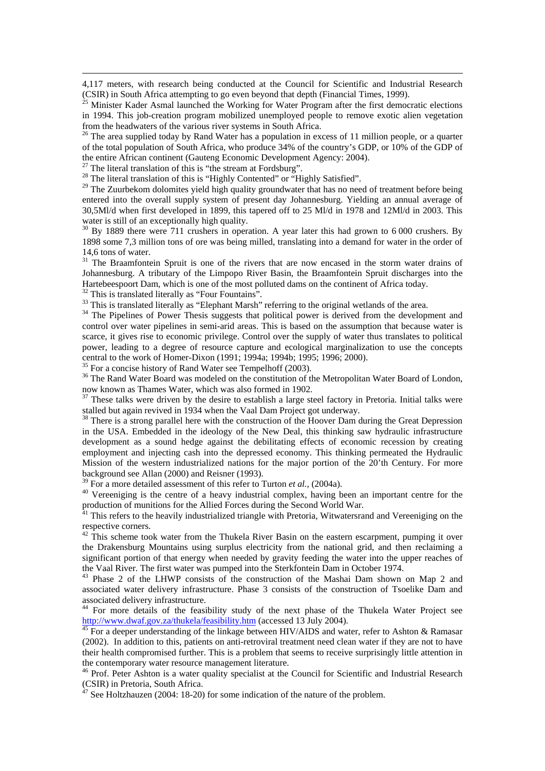4,117 meters, with research being conducted at the Council for Scientific and Industrial Research (CSIR) in South Africa attempting to go even beyond that depth (Financial Times, 1999).

 $<sup>5</sup>$  Minister Kader Asmal launched the Working for Water Program after the first democratic elections</sup> in 1994. This job-creation program mobilized unemployed people to remove exotic alien vegetation from the headwaters of the various river systems in South Africa.

 $26$  The area supplied today by Rand Water has a population in excess of 11 million people, or a quarter of the total population of South Africa, who produce 34% of the country's GDP, or 10% of the GDP of the entire African continent (Gauteng Economic Development Agency: 2004). 27 The literal translation of this is "the stream at Fordsburg".

 $\overline{a}$ 

<sup>28</sup> The literal translation of this is "Highly Contented" or "Highly Satisfied".

entered into the overall supply system of present day Johannesburg. Yielding an annual average of 30,5Ml/d when first developed in 1899, this tapered off to 25 Ml/d in 1978 and 12Ml/d in 2003. This <sup>29</sup> The Zuurbekom dolomites yield high quality groundwater that has no need of treatment before being water is still of an exceptionally high quality.

 $30$  By 1889 there were 711 crushers in operation. A year later this had grown to 6 000 crushers. By 1898 some 7,3 million tons of ore was being milled, translating into a demand for water in the order of 14,6 tons of water.

 $31$  The Braamfontein Spruit is one of the rivers that are now encased in the storm water drains of Johannesburg. A tributary of the Limpopo River Basin, the Braamfontein Spruit discharges into the Hartebeespoort Dam, which is one of the most polluted dams on the continent of Africa today.

 $32$  This is translated literally as "Four Fountains".

<sup>33</sup> This is translated literally as "Elephant Marsh" referring to the original wetlands of the area.

control over water pipelines in semi-arid areas. This is based on the assumption that because water is scarce, it gives rise to economic privilege. Control over the supply of water thus translates to political power, leading to a degree of resource capture and ecological marginalization to use the concepts <sup>34</sup> The Pipelines of Power Thesis suggests that political power is derived from the development and central to the work of Homer-Dixon (1991; 1994a; 1994b; 1995; 1996; 2000).

<sup>35</sup> For a concise history of Rand Water see Tempelhoff (2003).

now known as Thames Water, which was also formed in 1902.<br><sup>37</sup> These talks were driven by the desire to establish a large steel factory in Pretoria. Initial talks were <sup>36</sup> The Rand Water Board was modeled on the constitution of the Metropolitan Water Board of London, now known as Thames Water, which was also formed in 1902.

stalled but again revived in 1934 when the Vaal Dam Project got underway.

in the USA. Embedded in the ideology of the New Deal, this thinking saw hydraulic infrastructure employment and injecting cash into the depressed economy. This thinking permeated the Hydraulic <sup>38</sup> There is a strong parallel here with the construction of the Hoover Dam during the Great Depression development as a sound hedge against the debilitating effects of economic recession by creating Mission of the western industrialized nations for the major portion of the 20'th Century. For more background see Allan (2000) and Reisner (1993).<br><sup>39</sup> For a more detailed assessment of this refer to Turton *et al.*, (2004a).

<sup>40</sup> Vereeniging is the centre of a heavy industrial complex, having been an important centre for the production of munitions for the Allied Forces during the Second World War.

Witwatersrand and Vereeniging on the  $41$ <sup>1</sup> This refers to the heavily industrialized triangle with Pretoria, respective corners.

the Drakensburg Mountains using surplus electricity from the national grid, and then reclaiming a the Vaal River. The first water was pumped into the Sterkfontein Dam in October 1974.  $42$  This scheme took water from the Thukela River Basin on the eastern escarpment, pumping it over significant portion of that energy when needed by gravity feeding the water into the upper reaches of

<sup>43</sup> Phase 2 of the LHWP consists of the construction of the Mashai Dam shown on Map 2 and associated water delivery infrastructure. Phase 3 consists of the construction of Tsoelike Dam and associated delivery infrastructure.

<sup>44</sup> For more details of the feasibility study of the next phase of the Thukela Water Project see http://www.dwaf.gov.za/thukela/feasibility.htm (accessed 13 July 2004).<br><sup>45</sup> For a deeper understanding of the linkage between HIV/AIDS and water, refer to Ashton & Ramasar

(2002). In addition to this, patients on anti-retroviral treatment need clean water if they are not to have their health compromised further. This is a problem that seems to receive surprisingly little attention in the contemporary water resource management literature.

<sup>46</sup> Prof. Peter Ashton is a water quality specialist at the Council for Scientific and Industrial Research (CSIR) in Pretoria, South Africa.<br><sup>47</sup> See Heltzbewan (2004: 18.20)

See Holtzhauzen (2004: 18-20) for some indication of the nature of the problem.